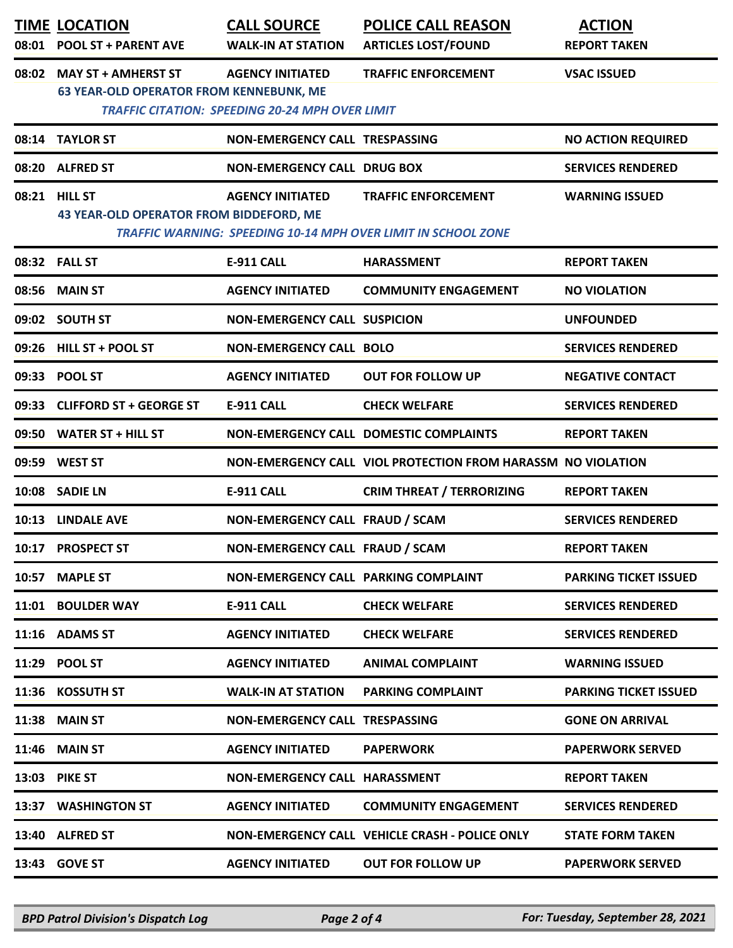| 08:01 | TIME LOCATION<br>POOL ST + PARENT AVE                          | <u>CALL SOURCE</u><br><b>WALK-IN AT STATION</b>                                   | POLICE CALL REASON<br><b>ARTICLES LOST/FOUND</b>                                            | <b>ACTION</b><br><b>REPORT TAKEN</b> |
|-------|----------------------------------------------------------------|-----------------------------------------------------------------------------------|---------------------------------------------------------------------------------------------|--------------------------------------|
| 08:02 | MAY ST + AMHERST ST<br>63 YEAR-OLD OPERATOR FROM KENNEBUNK, ME | <b>AGENCY INITIATED</b><br><b>TRAFFIC CITATION: SPEEDING 20-24 MPH OVER LIMIT</b> | TRAFFIC ENFORCEMENT                                                                         | <b>VSAC ISSUED</b>                   |
| 08:14 | <b>TAYLOR ST</b>                                               | NON-EMERGENCY CALL TRESPASSING                                                    |                                                                                             | NO ACTION REQUIRED                   |
| 08:20 | <b>ALFRED ST</b>                                               | NON-EMERGENCY CALL DRUG BOX                                                       |                                                                                             | SERVICES RENDERED                    |
| 08:21 | <b>HILL ST</b><br>43 YEAR-OLD OPERATOR FROM BIDDEFORD, ME      | AGENCY INITIATED                                                                  | TRAFFIC ENFORCEMENT<br><b>TRAFFIC WARNING: SPEEDING 10-14 MPH OVER LIMIT IN SCHOOL ZONE</b> | <b>WARNING ISSUED</b>                |
|       | 08:32    FALL ST                                               | E-911 CALL                                                                        | <b>HARASSMENT</b>                                                                           | <b>REPORT TAKEN</b>                  |
| 08:56 | <b>MAIN ST</b>                                                 | <b>AGENCY INITIATED</b>                                                           | COMMUNITY ENGAGEMENT                                                                        | NO VIOLATION                         |
|       | 09:02 SOUTH ST                                                 | NON-EMERGENCY CALL SUSPICION                                                      |                                                                                             | <b>UNFOUNDED</b>                     |
|       | 09:26 HILL ST + POOL ST                                        | NON-EMERGENCY CALL BOLO                                                           |                                                                                             | <b>SERVICES RENDERED</b>             |
|       | 09:33 POOL ST                                                  | <b>AGENCY INITIATED</b>                                                           | OUT FOR FOLLOW UP                                                                           | NEGATIVE CONTACT                     |
|       | 09:33 CLIFFORD ST + GEORGE ST                                  | E-911 CALL                                                                        | CHECK WELFARE                                                                               | SERVICES RENDERED                    |
|       | 09:50 WATER ST + HILL ST                                       |                                                                                   | NON-EMERGENCY CALL DOMESTIC COMPLAINTS                                                      | <b>REPORT TAKEN</b>                  |
|       | 09:59 WEST ST                                                  |                                                                                   | NON-EMERGENCY CALL VIOL PROTECTION FROM HARASSM NO VIOLATION                                |                                      |
|       | 10:08 SADIE LN                                                 | E-911 CALL                                                                        | CRIM THREAT / TERRORIZING                                                                   | <b>REPORT TAKEN</b>                  |
| 10:13 | <b>LINDALE AVE</b>                                             | NON-EMERGENCY CALL FRAUD / SCAM                                                   |                                                                                             | <b>SERVICES RENDERED</b>             |
|       | 10:17 PROSPECT ST                                              | NON-EMERGENCY CALL FRAUD / SCAM                                                   |                                                                                             | REPORT TAKEN                         |
|       | 10:57 MAPLE ST                                                 | NON-EMERGENCY CALL PARKING COMPLAINT                                              |                                                                                             | PARKING TICKET ISSUED                |
| 11:01 | <b>BOULDER WAY</b>                                             | E-911 CALL                                                                        | CHECK WELFARE                                                                               | SERVICES RENDERED                    |
|       | 11:16 ADAMS ST                                                 | <b>AGENCY INITIATED</b>                                                           | CHECK WELFARE                                                                               | SERVICES RENDERED                    |
| 11:29 | POOL ST                                                        | <b>AGENCY INITIATED</b>                                                           | ANIMAL COMPLAINT                                                                            | <b>WARNING ISSUED</b>                |
| 11:36 | <b>KOSSUTH ST</b>                                              | <b>WALK-IN AT STATION</b>                                                         | PARKING COMPLAINT                                                                           | PARKING TICKET ISSUED                |
| 11:38 | <b>MAIN ST</b>                                                 | NON-EMERGENCY CALL TRESPASSING                                                    |                                                                                             | <b>GONE ON ARRIVAL</b>               |
| 11:46 | <b>MAIN ST</b>                                                 | <b>AGENCY INITIATED</b>                                                           | <b>PAPERWORK</b>                                                                            | PAPERWORK SERVED                     |
| 13:03 | PIKE ST                                                        | NON-EMERGENCY CALL HARASSMENT                                                     |                                                                                             | <b>REPORT TAKEN</b>                  |
| 13:37 | <b>WASHINGTON ST</b>                                           | <b>AGENCY INITIATED</b>                                                           | COMMUNITY ENGAGEMENT                                                                        | SERVICES RENDERED                    |
| 13:40 | <b>ALFRED ST</b>                                               |                                                                                   | NON-EMERGENCY CALL VEHICLE CRASH - POLICE ONLY                                              | STATE FORM TAKEN                     |
| 13:43 | <b>GOVE ST</b>                                                 | <b>AGENCY INITIATED</b>                                                           | OUT FOR FOLLOW UP                                                                           | PAPERWORK SERVED                     |

*BPD Patrol Division's Dispatch Log Page 2 of 4 For: Tuesday, September 28, 2021*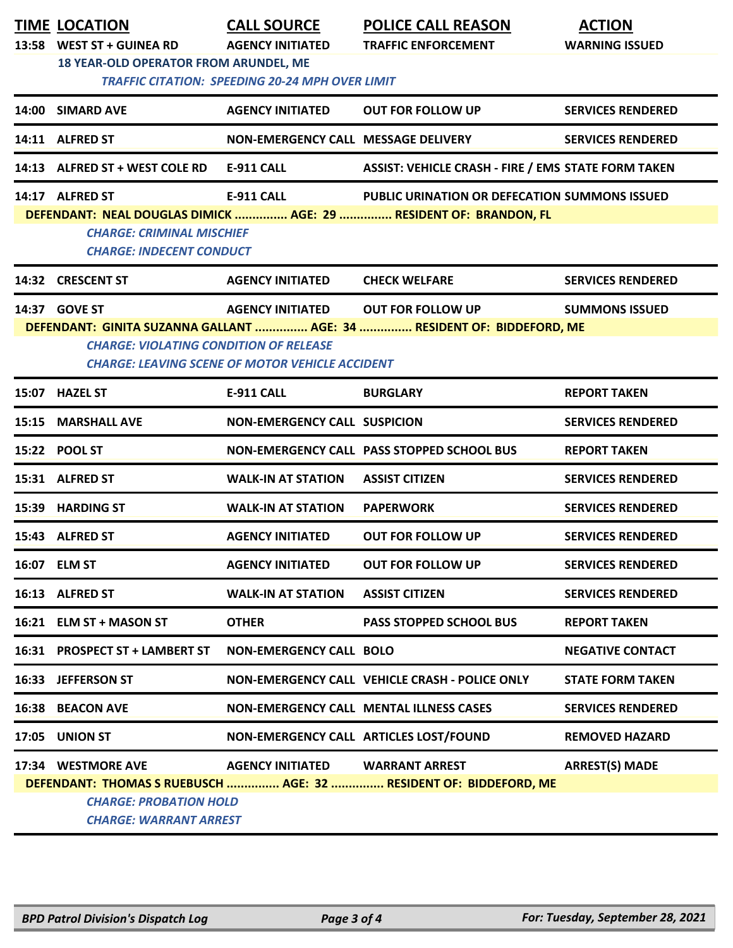|                                                                                                                                                                                                                                          | <b>TIME LOCATION</b><br>13:58 WEST ST + GUINEA RD<br>18 YEAR-OLD OPERATOR FROM ARUNDEL, ME | <b>CALL SOURCE</b><br><b>AGENCY INITIATED</b><br><b>TRAFFIC CITATION: SPEEDING 20-24 MPH OVER LIMIT</b> | <b>POLICE CALL REASON</b><br><b>TRAFFIC ENFORCEMENT</b>                                     | <b>ACTION</b><br><b>WARNING ISSUED</b> |  |
|------------------------------------------------------------------------------------------------------------------------------------------------------------------------------------------------------------------------------------------|--------------------------------------------------------------------------------------------|---------------------------------------------------------------------------------------------------------|---------------------------------------------------------------------------------------------|----------------------------------------|--|
|                                                                                                                                                                                                                                          | 14:00 SIMARD AVE                                                                           | <b>AGENCY INITIATED</b>                                                                                 | <b>OUT FOR FOLLOW UP</b>                                                                    | <b>SERVICES RENDERED</b>               |  |
|                                                                                                                                                                                                                                          | 14:11 ALFRED ST                                                                            | NON-EMERGENCY CALL MESSAGE DELIVERY                                                                     |                                                                                             | <b>SERVICES RENDERED</b>               |  |
|                                                                                                                                                                                                                                          | 14:13 ALFRED ST + WEST COLE RD                                                             | <b>E-911 CALL</b>                                                                                       | <b>ASSIST: VEHICLE CRASH - FIRE / EMS STATE FORM TAKEN</b>                                  |                                        |  |
| <b>E-911 CALL</b><br>14:17 ALFRED ST<br><b>PUBLIC URINATION OR DEFECATION SUMMONS ISSUED</b><br>DEFENDANT: NEAL DOUGLAS DIMICK  AGE: 29  RESIDENT OF: BRANDON, FL<br><b>CHARGE: CRIMINAL MISCHIEF</b><br><b>CHARGE: INDECENT CONDUCT</b> |                                                                                            |                                                                                                         |                                                                                             |                                        |  |
|                                                                                                                                                                                                                                          | 14:32 CRESCENT ST                                                                          | <b>AGENCY INITIATED</b>                                                                                 | <b>CHECK WELFARE</b>                                                                        | <b>SERVICES RENDERED</b>               |  |
|                                                                                                                                                                                                                                          | 14:37 GOVE ST<br><b>CHARGE: VIOLATING CONDITION OF RELEASE</b>                             | <b>AGENCY INITIATED</b><br><b>CHARGE: LEAVING SCENE OF MOTOR VEHICLE ACCIDENT</b>                       | OUT FOR FOLLOW UP<br>DEFENDANT: GINITA SUZANNA GALLANT  AGE: 34  RESIDENT OF: BIDDEFORD, ME | <b>SUMMONS ISSUED</b>                  |  |
|                                                                                                                                                                                                                                          | 15:07 HAZEL ST                                                                             | E-911 CALL                                                                                              | <b>BURGLARY</b>                                                                             | <b>REPORT TAKEN</b>                    |  |
| 15:15                                                                                                                                                                                                                                    | <b>MARSHALL AVE</b>                                                                        | <b>NON-EMERGENCY CALL SUSPICION</b>                                                                     |                                                                                             | <b>SERVICES RENDERED</b>               |  |
|                                                                                                                                                                                                                                          | 15:22 POOL ST                                                                              |                                                                                                         | NON-EMERGENCY CALL PASS STOPPED SCHOOL BUS                                                  | <b>REPORT TAKEN</b>                    |  |
|                                                                                                                                                                                                                                          | 15:31 ALFRED ST                                                                            | <b>WALK-IN AT STATION</b>                                                                               | <b>ASSIST CITIZEN</b>                                                                       | <b>SERVICES RENDERED</b>               |  |
| 15:39                                                                                                                                                                                                                                    | <b>HARDING ST</b>                                                                          | <b>WALK-IN AT STATION</b>                                                                               | <b>PAPERWORK</b>                                                                            | <b>SERVICES RENDERED</b>               |  |
|                                                                                                                                                                                                                                          | 15:43 ALFRED ST                                                                            | <b>AGENCY INITIATED</b>                                                                                 | <b>OUT FOR FOLLOW UP</b>                                                                    | <b>SERVICES RENDERED</b>               |  |
|                                                                                                                                                                                                                                          | 16:07 ELM ST                                                                               | <b>AGENCY INITIATED</b>                                                                                 | <b>OUT FOR FOLLOW UP</b>                                                                    | <b>SERVICES RENDERED</b>               |  |
|                                                                                                                                                                                                                                          | 16:13 ALFRED ST                                                                            | <b>WALK-IN AT STATION</b>                                                                               | <b>ASSIST CITIZEN</b>                                                                       | <b>SERVICES RENDERED</b>               |  |
|                                                                                                                                                                                                                                          | 16:21 ELM ST + MASON ST                                                                    | <b>OTHER</b>                                                                                            | <b>PASS STOPPED SCHOOL BUS</b>                                                              | <b>REPORT TAKEN</b>                    |  |
| 16:31                                                                                                                                                                                                                                    | <b>PROSPECT ST + LAMBERT ST</b>                                                            | <b>NON-EMERGENCY CALL BOLO</b>                                                                          |                                                                                             | <b>NEGATIVE CONTACT</b>                |  |
|                                                                                                                                                                                                                                          | 16:33 JEFFERSON ST                                                                         |                                                                                                         | NON-EMERGENCY CALL VEHICLE CRASH - POLICE ONLY                                              | <b>STATE FORM TAKEN</b>                |  |
| 16:38                                                                                                                                                                                                                                    | <b>BEACON AVE</b>                                                                          |                                                                                                         | <b>NON-EMERGENCY CALL MENTAL ILLNESS CASES</b>                                              | <b>SERVICES RENDERED</b>               |  |
| 17:05                                                                                                                                                                                                                                    | <b>UNION ST</b>                                                                            | NON-EMERGENCY CALL ARTICLES LOST/FOUND                                                                  |                                                                                             | <b>REMOVED HAZARD</b>                  |  |
|                                                                                                                                                                                                                                          | 17:34 WESTMORE AVE<br><b>CHARGE: PROBATION HOLD</b><br><b>CHARGE: WARRANT ARREST</b>       | <b>AGENCY INITIATED</b>                                                                                 | <b>WARRANT ARREST</b><br>DEFENDANT: THOMAS S RUEBUSCH  AGE: 32  RESIDENT OF: BIDDEFORD, ME  | <b>ARREST(S) MADE</b>                  |  |